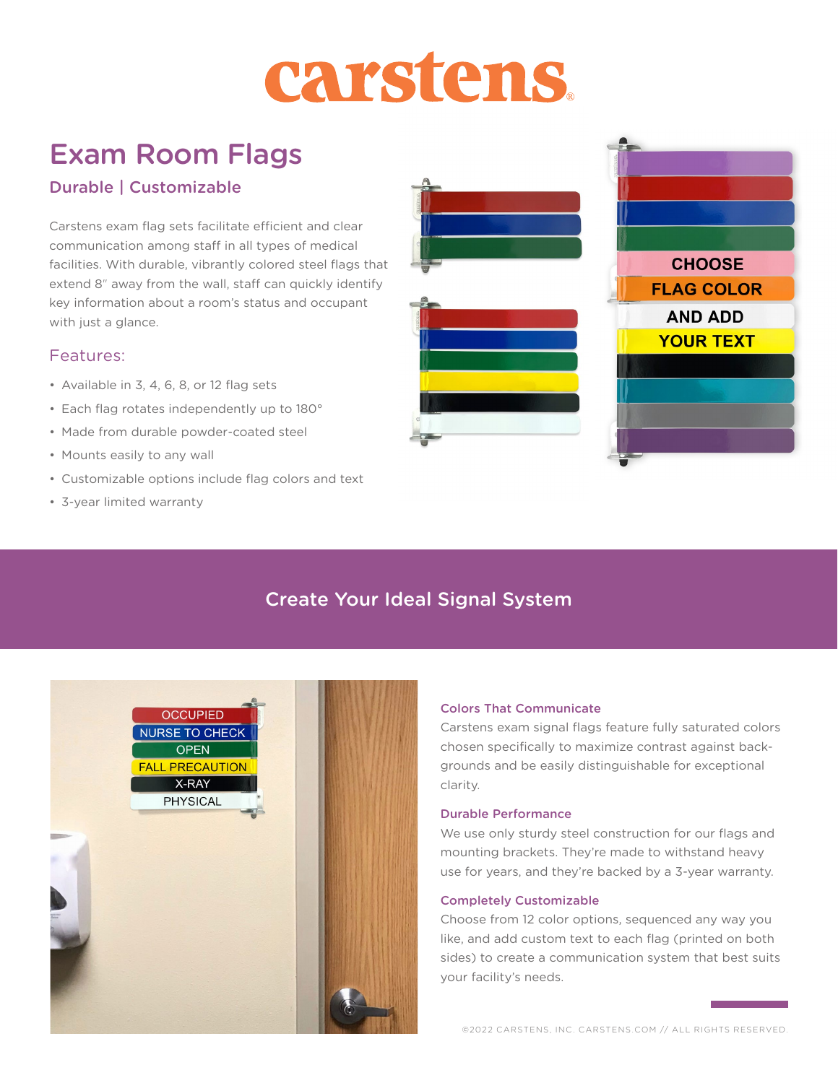# carstens

# Exam Room Flags

## Durable | Customizable

Carstens exam flag sets facilitate efficient and clear communication among staff in all types of medical facilities. With durable, vibrantly colored steel flags that extend 8" away from the wall, staff can quickly identify key information about a room's status and occupant with just a glance.

### Features:

- Available in 3, 4, 6, 8, or 12 flag sets
- Each flag rotates independently up to 180°
- Made from durable powder-coated steel
- Mounts easily to any wall
- Customizable options include flag colors and text
- 3-year limited warranty



# Create Your Ideal Signal System



#### Colors That Communicate

Carstens exam signal flags feature fully saturated colors chosen specifically to maximize contrast against backgrounds and be easily distinguishable for exceptional clarity.

#### Durable Performance

We use only sturdy steel construction for our flags and mounting brackets. They're made to withstand heavy use for years, and they're backed by a 3-year warranty.

#### Completely Customizable

Choose from 12 color options, sequenced any way you like, and add custom text to each flag (printed on both sides) to create a communication system that best suits your facility's needs.

©2022 CARSTENS, INC. CARSTENS.COM // ALL RIGHTS RESERVED.